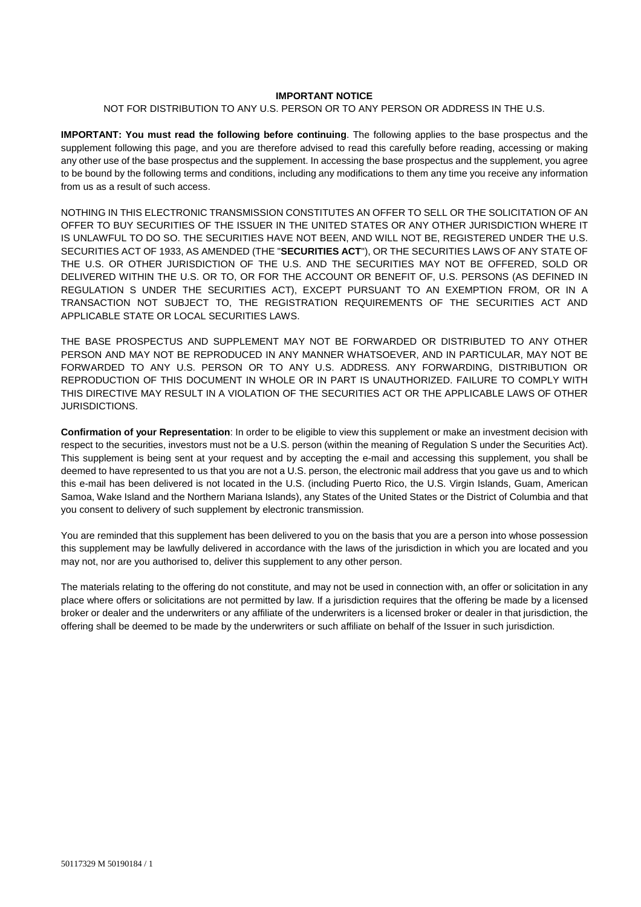### **IMPORTANT NOTICE**

#### NOT FOR DISTRIBUTION TO ANY U.S. PERSON OR TO ANY PERSON OR ADDRESS IN THE U.S.

**IMPORTANT: You must read the following before continuing**. The following applies to the base prospectus and the supplement following this page, and you are therefore advised to read this carefully before reading, accessing or making any other use of the base prospectus and the supplement. In accessing the base prospectus and the supplement, you agree to be bound by the following terms and conditions, including any modifications to them any time you receive any information from us as a result of such access.

NOTHING IN THIS ELECTRONIC TRANSMISSION CONSTITUTES AN OFFER TO SELL OR THE SOLICITATION OF AN OFFER TO BUY SECURITIES OF THE ISSUER IN THE UNITED STATES OR ANY OTHER JURISDICTION WHERE IT IS UNLAWFUL TO DO SO. THE SECURITIES HAVE NOT BEEN, AND WILL NOT BE, REGISTERED UNDER THE U.S. SECURITIES ACT OF 1933, AS AMENDED (THE "**SECURITIES ACT**"), OR THE SECURITIES LAWS OF ANY STATE OF THE U.S. OR OTHER JURISDICTION OF THE U.S. AND THE SECURITIES MAY NOT BE OFFERED, SOLD OR DELIVERED WITHIN THE U.S. OR TO, OR FOR THE ACCOUNT OR BENEFIT OF, U.S. PERSONS (AS DEFINED IN REGULATION S UNDER THE SECURITIES ACT), EXCEPT PURSUANT TO AN EXEMPTION FROM, OR IN A TRANSACTION NOT SUBJECT TO, THE REGISTRATION REQUIREMENTS OF THE SECURITIES ACT AND APPLICABLE STATE OR LOCAL SECURITIES LAWS.

THE BASE PROSPECTUS AND SUPPLEMENT MAY NOT BE FORWARDED OR DISTRIBUTED TO ANY OTHER PERSON AND MAY NOT BE REPRODUCED IN ANY MANNER WHATSOEVER. AND IN PARTICULAR, MAY NOT BE FORWARDED TO ANY U.S. PERSON OR TO ANY U.S. ADDRESS. ANY FORWARDING, DISTRIBUTION OR REPRODUCTION OF THIS DOCUMENT IN WHOLE OR IN PART IS UNAUTHORIZED. FAILURE TO COMPLY WITH THIS DIRECTIVE MAY RESULT IN A VIOLATION OF THE SECURITIES ACT OR THE APPLICABLE LAWS OF OTHER JURISDICTIONS.

**Confirmation of your Representation**: In order to be eligible to view this supplement or make an investment decision with respect to the securities, investors must not be a U.S. person (within the meaning of Regulation S under the Securities Act). This supplement is being sent at your request and by accepting the e-mail and accessing this supplement, you shall be deemed to have represented to us that you are not a U.S. person, the electronic mail address that you gave us and to which this e-mail has been delivered is not located in the U.S. (including Puerto Rico, the U.S. Virgin Islands, Guam, American Samoa, Wake Island and the Northern Mariana Islands), any States of the United States or the District of Columbia and that you consent to delivery of such supplement by electronic transmission.

You are reminded that this supplement has been delivered to you on the basis that you are a person into whose possession this supplement may be lawfully delivered in accordance with the laws of the jurisdiction in which you are located and you may not, nor are you authorised to, deliver this supplement to any other person.

The materials relating to the offering do not constitute, and may not be used in connection with, an offer or solicitation in any place where offers or solicitations are not permitted by law. If a jurisdiction requires that the offering be made by a licensed broker or dealer and the underwriters or any affiliate of the underwriters is a licensed broker or dealer in that jurisdiction, the offering shall be deemed to be made by the underwriters or such affiliate on behalf of the Issuer in such jurisdiction.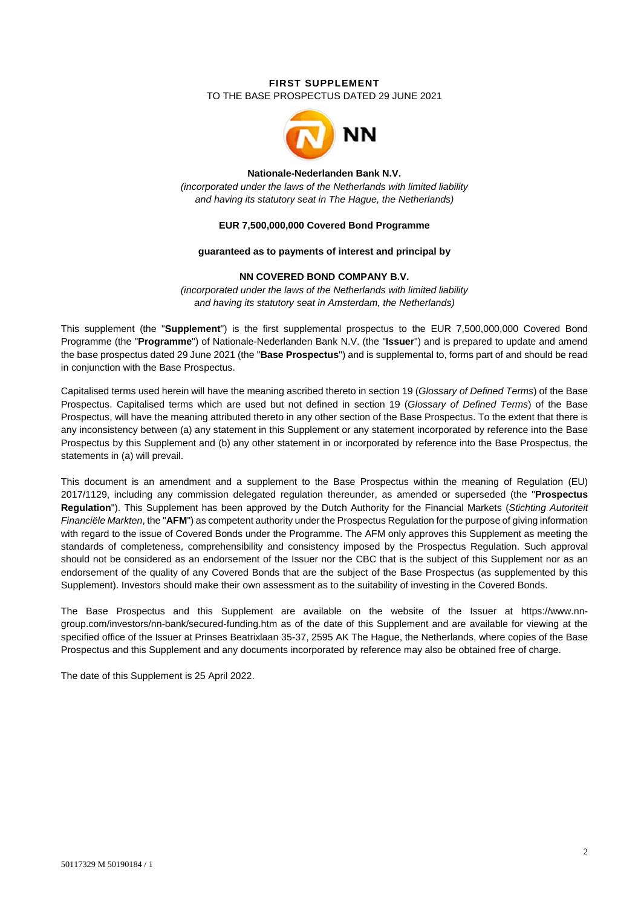# **FIRST SUPPLEMENT**  TO THE BASE PROSPECTUS DATED 29 JUNE 2021



#### **Nationale-Nederlanden Bank N.V.**

*(incorporated under the laws of the Netherlands with limited liability and having its statutory seat in The Hague, the Netherlands)* 

## **EUR 7,500,000,000 Covered Bond Programme**

#### **guaranteed as to payments of interest and principal by**

## **NN COVERED BOND COMPANY B.V.**

*(incorporated under the laws of the Netherlands with limited liability and having its statutory seat in Amsterdam, the Netherlands)*

This supplement (the "**Supplement**") is the first supplemental prospectus to the EUR 7,500,000,000 Covered Bond Programme (the "**Programme**") of Nationale-Nederlanden Bank N.V. (the "**Issuer**") and is prepared to update and amend the base prospectus dated 29 June 2021 (the "**Base Prospectus**") and is supplemental to, forms part of and should be read in conjunction with the Base Prospectus.

Capitalised terms used herein will have the meaning ascribed thereto in section 19 (*Glossary of Defined Terms*) of the Base Prospectus. Capitalised terms which are used but not defined in section 19 (*Glossary of Defined Terms*) of the Base Prospectus, will have the meaning attributed thereto in any other section of the Base Prospectus. To the extent that there is any inconsistency between (a) any statement in this Supplement or any statement incorporated by reference into the Base Prospectus by this Supplement and (b) any other statement in or incorporated by reference into the Base Prospectus, the statements in (a) will prevail.

This document is an amendment and a supplement to the Base Prospectus within the meaning of Regulation (EU) 2017/1129, including any commission delegated regulation thereunder, as amended or superseded (the "**Prospectus Regulation**"). This Supplement has been approved by the Dutch Authority for the Financial Markets (*Stichting Autoriteit Financiële Markten*, the "**AFM**") as competent authority under the Prospectus Regulation for the purpose of giving information with regard to the issue of Covered Bonds under the Programme. The AFM only approves this Supplement as meeting the standards of completeness, comprehensibility and consistency imposed by the Prospectus Regulation. Such approval should not be considered as an endorsement of the Issuer nor the CBC that is the subject of this Supplement nor as an endorsement of the quality of any Covered Bonds that are the subject of the Base Prospectus (as supplemented by this Supplement). Investors should make their own assessment as to the suitability of investing in the Covered Bonds.

The Base Prospectus and this Supplement are available on the website of the Issuer at https://www.nngroup.com/investors/nn-bank/secured-funding.htm as of the date of this Supplement and are available for viewing at the specified office of the Issuer at Prinses Beatrixlaan 35-37, 2595 AK The Hague, the Netherlands, where copies of the Base Prospectus and this Supplement and any documents incorporated by reference may also be obtained free of charge.

The date of this Supplement is 25 April 2022.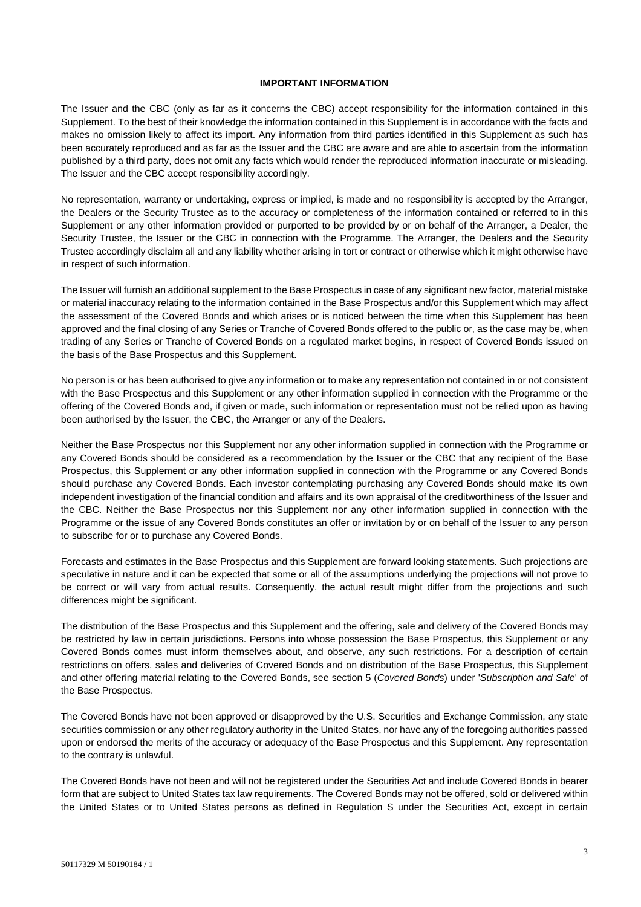#### **IMPORTANT INFORMATION**

The Issuer and the CBC (only as far as it concerns the CBC) accept responsibility for the information contained in this Supplement. To the best of their knowledge the information contained in this Supplement is in accordance with the facts and makes no omission likely to affect its import. Any information from third parties identified in this Supplement as such has been accurately reproduced and as far as the Issuer and the CBC are aware and are able to ascertain from the information published by a third party, does not omit any facts which would render the reproduced information inaccurate or misleading. The Issuer and the CBC accept responsibility accordingly.

No representation, warranty or undertaking, express or implied, is made and no responsibility is accepted by the Arranger, the Dealers or the Security Trustee as to the accuracy or completeness of the information contained or referred to in this Supplement or any other information provided or purported to be provided by or on behalf of the Arranger, a Dealer, the Security Trustee, the Issuer or the CBC in connection with the Programme. The Arranger, the Dealers and the Security Trustee accordingly disclaim all and any liability whether arising in tort or contract or otherwise which it might otherwise have in respect of such information.

The Issuer will furnish an additional supplement to the Base Prospectus in case of any significant new factor, material mistake or material inaccuracy relating to the information contained in the Base Prospectus and/or this Supplement which may affect the assessment of the Covered Bonds and which arises or is noticed between the time when this Supplement has been approved and the final closing of any Series or Tranche of Covered Bonds offered to the public or, as the case may be, when trading of any Series or Tranche of Covered Bonds on a regulated market begins, in respect of Covered Bonds issued on the basis of the Base Prospectus and this Supplement.

No person is or has been authorised to give any information or to make any representation not contained in or not consistent with the Base Prospectus and this Supplement or any other information supplied in connection with the Programme or the offering of the Covered Bonds and, if given or made, such information or representation must not be relied upon as having been authorised by the Issuer, the CBC, the Arranger or any of the Dealers.

Neither the Base Prospectus nor this Supplement nor any other information supplied in connection with the Programme or any Covered Bonds should be considered as a recommendation by the Issuer or the CBC that any recipient of the Base Prospectus, this Supplement or any other information supplied in connection with the Programme or any Covered Bonds should purchase any Covered Bonds. Each investor contemplating purchasing any Covered Bonds should make its own independent investigation of the financial condition and affairs and its own appraisal of the creditworthiness of the Issuer and the CBC. Neither the Base Prospectus nor this Supplement nor any other information supplied in connection with the Programme or the issue of any Covered Bonds constitutes an offer or invitation by or on behalf of the Issuer to any person to subscribe for or to purchase any Covered Bonds.

Forecasts and estimates in the Base Prospectus and this Supplement are forward looking statements. Such projections are speculative in nature and it can be expected that some or all of the assumptions underlying the projections will not prove to be correct or will vary from actual results. Consequently, the actual result might differ from the projections and such differences might be significant.

The distribution of the Base Prospectus and this Supplement and the offering, sale and delivery of the Covered Bonds may be restricted by law in certain jurisdictions. Persons into whose possession the Base Prospectus, this Supplement or any Covered Bonds comes must inform themselves about, and observe, any such restrictions. For a description of certain restrictions on offers, sales and deliveries of Covered Bonds and on distribution of the Base Prospectus, this Supplement and other offering material relating to the Covered Bonds, see section 5 (*Covered Bonds*) under '*Subscription and Sale*' of the Base Prospectus.

The Covered Bonds have not been approved or disapproved by the U.S. Securities and Exchange Commission, any state securities commission or any other regulatory authority in the United States, nor have any of the foregoing authorities passed upon or endorsed the merits of the accuracy or adequacy of the Base Prospectus and this Supplement. Any representation to the contrary is unlawful.

The Covered Bonds have not been and will not be registered under the Securities Act and include Covered Bonds in bearer form that are subject to United States tax law requirements. The Covered Bonds may not be offered, sold or delivered within the United States or to United States persons as defined in Regulation S under the Securities Act, except in certain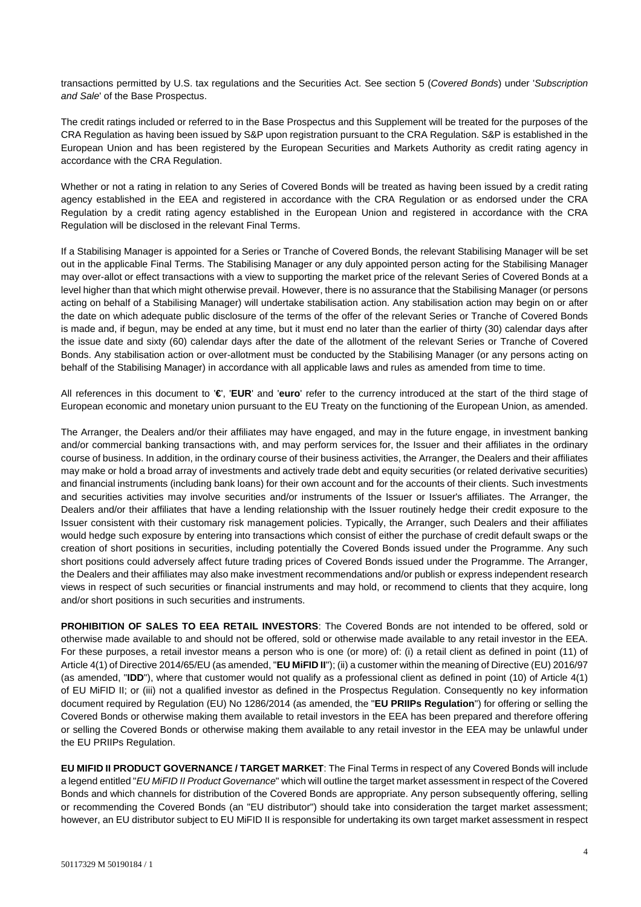transactions permitted by U.S. tax regulations and the Securities Act. See section 5 (*Covered Bonds*) under '*Subscription and Sale*' of the Base Prospectus.

The credit ratings included or referred to in the Base Prospectus and this Supplement will be treated for the purposes of the CRA Regulation as having been issued by S&P upon registration pursuant to the CRA Regulation. S&P is established in the European Union and has been registered by the European Securities and Markets Authority as credit rating agency in accordance with the CRA Regulation.

Whether or not a rating in relation to any Series of Covered Bonds will be treated as having been issued by a credit rating agency established in the EEA and registered in accordance with the CRA Regulation or as endorsed under the CRA Regulation by a credit rating agency established in the European Union and registered in accordance with the CRA Regulation will be disclosed in the relevant Final Terms.

If a Stabilising Manager is appointed for a Series or Tranche of Covered Bonds, the relevant Stabilising Manager will be set out in the applicable Final Terms. The Stabilising Manager or any duly appointed person acting for the Stabilising Manager may over-allot or effect transactions with a view to supporting the market price of the relevant Series of Covered Bonds at a level higher than that which might otherwise prevail. However, there is no assurance that the Stabilising Manager (or persons acting on behalf of a Stabilising Manager) will undertake stabilisation action. Any stabilisation action may begin on or after the date on which adequate public disclosure of the terms of the offer of the relevant Series or Tranche of Covered Bonds is made and, if begun, may be ended at any time, but it must end no later than the earlier of thirty (30) calendar days after the issue date and sixty (60) calendar days after the date of the allotment of the relevant Series or Tranche of Covered Bonds. Any stabilisation action or over-allotment must be conducted by the Stabilising Manager (or any persons acting on behalf of the Stabilising Manager) in accordance with all applicable laws and rules as amended from time to time.

All references in this document to '**€**', '**EUR**' and '**euro**' refer to the currency introduced at the start of the third stage of European economic and monetary union pursuant to the EU Treaty on the functioning of the European Union, as amended.

The Arranger, the Dealers and/or their affiliates may have engaged, and may in the future engage, in investment banking and/or commercial banking transactions with, and may perform services for, the Issuer and their affiliates in the ordinary course of business. In addition, in the ordinary course of their business activities, the Arranger, the Dealers and their affiliates may make or hold a broad array of investments and actively trade debt and equity securities (or related derivative securities) and financial instruments (including bank loans) for their own account and for the accounts of their clients. Such investments and securities activities may involve securities and/or instruments of the Issuer or Issuer's affiliates. The Arranger, the Dealers and/or their affiliates that have a lending relationship with the Issuer routinely hedge their credit exposure to the Issuer consistent with their customary risk management policies. Typically, the Arranger, such Dealers and their affiliates would hedge such exposure by entering into transactions which consist of either the purchase of credit default swaps or the creation of short positions in securities, including potentially the Covered Bonds issued under the Programme. Any such short positions could adversely affect future trading prices of Covered Bonds issued under the Programme. The Arranger, the Dealers and their affiliates may also make investment recommendations and/or publish or express independent research views in respect of such securities or financial instruments and may hold, or recommend to clients that they acquire, long and/or short positions in such securities and instruments.

**PROHIBITION OF SALES TO EEA RETAIL INVESTORS**: The Covered Bonds are not intended to be offered, sold or otherwise made available to and should not be offered, sold or otherwise made available to any retail investor in the EEA. For these purposes, a retail investor means a person who is one (or more) of: (i) a retail client as defined in point (11) of Article 4(1) of Directive 2014/65/EU (as amended, "**EU MiFID II**"); (ii) a customer within the meaning of Directive (EU) 2016/97 (as amended, "**IDD**"), where that customer would not qualify as a professional client as defined in point (10) of Article 4(1) of EU MiFID II; or (iii) not a qualified investor as defined in the Prospectus Regulation. Consequently no key information document required by Regulation (EU) No 1286/2014 (as amended, the "**EU PRIIPs Regulation**") for offering or selling the Covered Bonds or otherwise making them available to retail investors in the EEA has been prepared and therefore offering or selling the Covered Bonds or otherwise making them available to any retail investor in the EEA may be unlawful under the EU PRIIPs Regulation.

**EU MIFID II PRODUCT GOVERNANCE / TARGET MARKET**: The Final Terms in respect of any Covered Bonds will include a legend entitled "*EU MiFID II Product Governance*" which will outline the target market assessment in respect of the Covered Bonds and which channels for distribution of the Covered Bonds are appropriate. Any person subsequently offering, selling or recommending the Covered Bonds (an "EU distributor") should take into consideration the target market assessment; however, an EU distributor subject to EU MiFID II is responsible for undertaking its own target market assessment in respect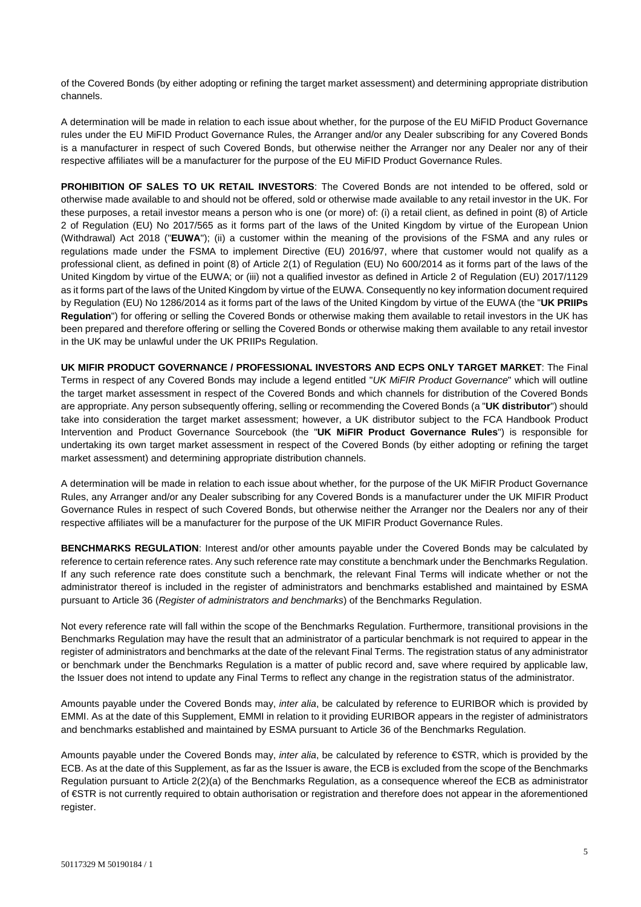of the Covered Bonds (by either adopting or refining the target market assessment) and determining appropriate distribution channels.

A determination will be made in relation to each issue about whether, for the purpose of the EU MiFID Product Governance rules under the EU MiFID Product Governance Rules, the Arranger and/or any Dealer subscribing for any Covered Bonds is a manufacturer in respect of such Covered Bonds, but otherwise neither the Arranger nor any Dealer nor any of their respective affiliates will be a manufacturer for the purpose of the EU MiFID Product Governance Rules.

**PROHIBITION OF SALES TO UK RETAIL INVESTORS**: The Covered Bonds are not intended to be offered, sold or otherwise made available to and should not be offered, sold or otherwise made available to any retail investor in the UK. For these purposes, a retail investor means a person who is one (or more) of: (i) a retail client, as defined in point (8) of Article 2 of Regulation (EU) No 2017/565 as it forms part of the laws of the United Kingdom by virtue of the European Union (Withdrawal) Act 2018 ("**EUWA**"); (ii) a customer within the meaning of the provisions of the FSMA and any rules or regulations made under the FSMA to implement Directive (EU) 2016/97, where that customer would not qualify as a professional client, as defined in point (8) of Article 2(1) of Regulation (EU) No 600/2014 as it forms part of the laws of the United Kingdom by virtue of the EUWA; or (iii) not a qualified investor as defined in Article 2 of Regulation (EU) 2017/1129 as it forms part of the laws of the United Kingdom by virtue of the EUWA. Consequently no key information document required by Regulation (EU) No 1286/2014 as it forms part of the laws of the United Kingdom by virtue of the EUWA (the "**UK PRIIPs Regulation**") for offering or selling the Covered Bonds or otherwise making them available to retail investors in the UK has been prepared and therefore offering or selling the Covered Bonds or otherwise making them available to any retail investor in the UK may be unlawful under the UK PRIIPs Regulation.

**UK MIFIR PRODUCT GOVERNANCE / PROFESSIONAL INVESTORS AND ECPS ONLY TARGET MARKET**: The Final Terms in respect of any Covered Bonds may include a legend entitled "*UK MiFIR Product Governance*" which will outline the target market assessment in respect of the Covered Bonds and which channels for distribution of the Covered Bonds are appropriate. Any person subsequently offering, selling or recommending the Covered Bonds (a "**UK distributor**") should take into consideration the target market assessment; however, a UK distributor subject to the FCA Handbook Product Intervention and Product Governance Sourcebook (the "**UK MiFIR Product Governance Rules**") is responsible for undertaking its own target market assessment in respect of the Covered Bonds (by either adopting or refining the target market assessment) and determining appropriate distribution channels.

A determination will be made in relation to each issue about whether, for the purpose of the UK MiFIR Product Governance Rules, any Arranger and/or any Dealer subscribing for any Covered Bonds is a manufacturer under the UK MIFIR Product Governance Rules in respect of such Covered Bonds, but otherwise neither the Arranger nor the Dealers nor any of their respective affiliates will be a manufacturer for the purpose of the UK MIFIR Product Governance Rules.

**BENCHMARKS REGULATION**: Interest and/or other amounts payable under the Covered Bonds may be calculated by reference to certain reference rates. Any such reference rate may constitute a benchmark under the Benchmarks Regulation. If any such reference rate does constitute such a benchmark, the relevant Final Terms will indicate whether or not the administrator thereof is included in the register of administrators and benchmarks established and maintained by ESMA pursuant to Article 36 (*Register of administrators and benchmarks*) of the Benchmarks Regulation.

Not every reference rate will fall within the scope of the Benchmarks Regulation. Furthermore, transitional provisions in the Benchmarks Regulation may have the result that an administrator of a particular benchmark is not required to appear in the register of administrators and benchmarks at the date of the relevant Final Terms. The registration status of any administrator or benchmark under the Benchmarks Regulation is a matter of public record and, save where required by applicable law, the Issuer does not intend to update any Final Terms to reflect any change in the registration status of the administrator.

Amounts payable under the Covered Bonds may, *inter alia*, be calculated by reference to EURIBOR which is provided by EMMI. As at the date of this Supplement, EMMI in relation to it providing EURIBOR appears in the register of administrators and benchmarks established and maintained by ESMA pursuant to Article 36 of the Benchmarks Regulation.

Amounts payable under the Covered Bonds may, *inter alia*, be calculated by reference to €STR, which is provided by the ECB. As at the date of this Supplement, as far as the Issuer is aware, the ECB is excluded from the scope of the Benchmarks Regulation pursuant to Article 2(2)(a) of the Benchmarks Regulation, as a consequence whereof the ECB as administrator of €STR is not currently required to obtain authorisation or registration and therefore does not appear in the aforementioned register.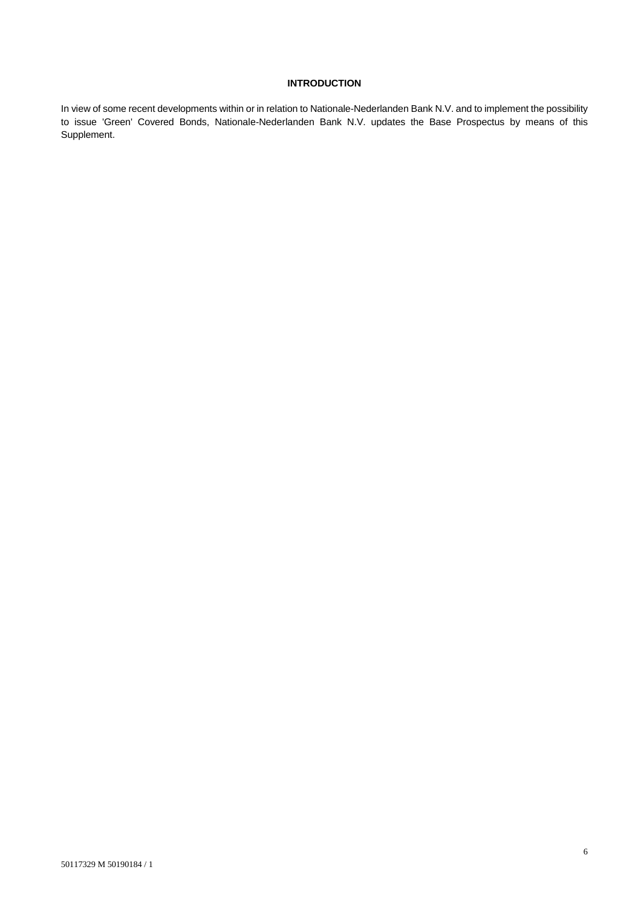## **INTRODUCTION**

In view of some recent developments within or in relation to Nationale-Nederlanden Bank N.V. and to implement the possibility to issue 'Green' Covered Bonds, Nationale-Nederlanden Bank N.V. updates the Base Prospectus by means of this Supplement.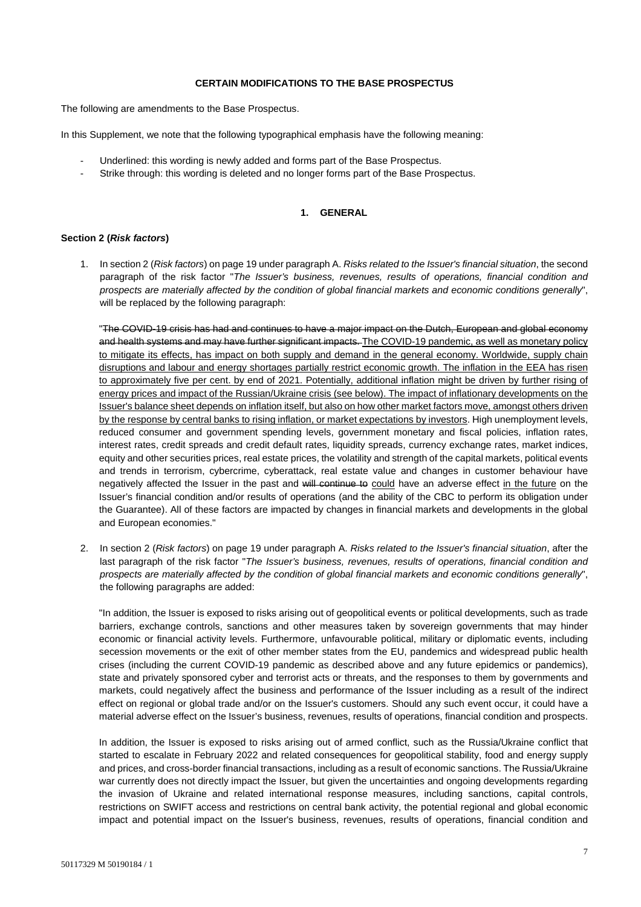#### **CERTAIN MODIFICATIONS TO THE BASE PROSPECTUS**

The following are amendments to the Base Prospectus.

In this Supplement, we note that the following typographical emphasis have the following meaning:

- Underlined: this wording is newly added and forms part of the Base Prospectus.
- Strike through: this wording is deleted and no longer forms part of the Base Prospectus.

## **1. GENERAL**

#### **Section 2 (***Risk factors***)**

1. In section 2 (*Risk factors*) on page 19 under paragraph A. *Risks related to the Issuer's financial situation*, the second paragraph of the risk factor "*The Issuer's business, revenues, results of operations, financial condition and prospects are materially affected by the condition of global financial markets and economic conditions generally*", will be replaced by the following paragraph:

"The COVID-19 crisis has had and continues to have a major impact on the Dutch, European and global economy and health systems and may have further significant impacts. The COVID-19 pandemic, as well as monetary policy to mitigate its effects, has impact on both supply and demand in the general economy. Worldwide, supply chain disruptions and labour and energy shortages partially restrict economic growth. The inflation in the EEA has risen to approximately five per cent. by end of 2021. Potentially, additional inflation might be driven by further rising of energy prices and impact of the Russian/Ukraine crisis (see below). The impact of inflationary developments on the Issuer's balance sheet depends on inflation itself, but also on how other market factors move, amongst others driven by the response by central banks to rising inflation, or market expectations by investors. High unemployment levels, reduced consumer and government spending levels, government monetary and fiscal policies, inflation rates, interest rates, credit spreads and credit default rates, liquidity spreads, currency exchange rates, market indices, equity and other securities prices, real estate prices, the volatility and strength of the capital markets, political events and trends in terrorism, cybercrime, cyberattack, real estate value and changes in customer behaviour have negatively affected the Issuer in the past and will continue to could have an adverse effect in the future on the Issuer's financial condition and/or results of operations (and the ability of the CBC to perform its obligation under the Guarantee). All of these factors are impacted by changes in financial markets and developments in the global and European economies."

2. In section 2 (*Risk factors*) on page 19 under paragraph A. *Risks related to the Issuer's financial situation*, after the last paragraph of the risk factor "*The Issuer's business, revenues, results of operations, financial condition and prospects are materially affected by the condition of global financial markets and economic conditions generally*", the following paragraphs are added:

"In addition, the Issuer is exposed to risks arising out of geopolitical events or political developments, such as trade barriers, exchange controls, sanctions and other measures taken by sovereign governments that may hinder economic or financial activity levels. Furthermore, unfavourable political, military or diplomatic events, including secession movements or the exit of other member states from the EU, pandemics and widespread public health crises (including the current COVID-19 pandemic as described above and any future epidemics or pandemics), state and privately sponsored cyber and terrorist acts or threats, and the responses to them by governments and markets, could negatively affect the business and performance of the Issuer including as a result of the indirect effect on regional or global trade and/or on the Issuer's customers. Should any such event occur, it could have a material adverse effect on the Issuer's business, revenues, results of operations, financial condition and prospects.

In addition, the Issuer is exposed to risks arising out of armed conflict, such as the Russia/Ukraine conflict that started to escalate in February 2022 and related consequences for geopolitical stability, food and energy supply and prices, and cross-border financial transactions, including as a result of economic sanctions. The Russia/Ukraine war currently does not directly impact the Issuer, but given the uncertainties and ongoing developments regarding the invasion of Ukraine and related international response measures, including sanctions, capital controls, restrictions on SWIFT access and restrictions on central bank activity, the potential regional and global economic impact and potential impact on the Issuer's business, revenues, results of operations, financial condition and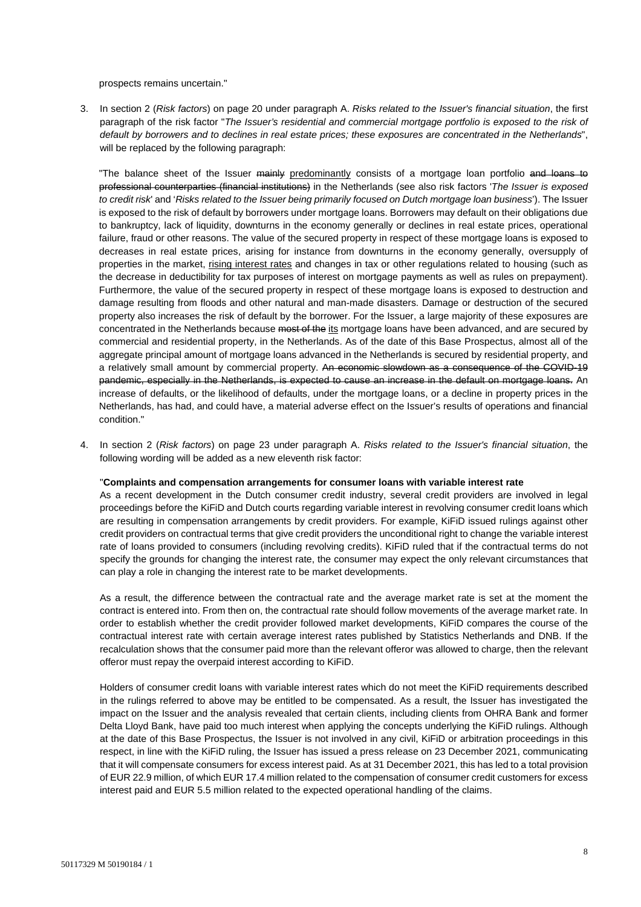prospects remains uncertain."

3. In section 2 (*Risk factors*) on page 20 under paragraph A. *Risks related to the Issuer's financial situation*, the first paragraph of the risk factor "*The Issuer's residential and commercial mortgage portfolio is exposed to the risk of default by borrowers and to declines in real estate prices; these exposures are concentrated in the Netherlands*", will be replaced by the following paragraph:

"The balance sheet of the Issuer mainly predominantly consists of a mortgage loan portfolio and loans to professional counterparties (financial institutions) in the Netherlands (see also risk factors '*The Issuer is exposed to credit risk*' and '*Risks related to the Issuer being primarily focused on Dutch mortgage loan business*'). The Issuer is exposed to the risk of default by borrowers under mortgage loans. Borrowers may default on their obligations due to bankruptcy, lack of liquidity, downturns in the economy generally or declines in real estate prices, operational failure, fraud or other reasons. The value of the secured property in respect of these mortgage loans is exposed to decreases in real estate prices, arising for instance from downturns in the economy generally, oversupply of properties in the market, rising interest rates and changes in tax or other regulations related to housing (such as the decrease in deductibility for tax purposes of interest on mortgage payments as well as rules on prepayment). Furthermore, the value of the secured property in respect of these mortgage loans is exposed to destruction and damage resulting from floods and other natural and man-made disasters. Damage or destruction of the secured property also increases the risk of default by the borrower. For the Issuer, a large majority of these exposures are concentrated in the Netherlands because most of the its mortgage loans have been advanced, and are secured by commercial and residential property, in the Netherlands. As of the date of this Base Prospectus, almost all of the aggregate principal amount of mortgage loans advanced in the Netherlands is secured by residential property, and a relatively small amount by commercial property. An economic slowdown as a consequence of the COVID-19 pandemic, especially in the Netherlands, is expected to cause an increase in the default on mortgage loans. An increase of defaults, or the likelihood of defaults, under the mortgage loans, or a decline in property prices in the Netherlands, has had, and could have, a material adverse effect on the Issuer's results of operations and financial condition."

4. In section 2 (*Risk factors*) on page 23 under paragraph A. *Risks related to the Issuer's financial situation*, the following wording will be added as a new eleventh risk factor:

#### "**Complaints and compensation arrangements for consumer loans with variable interest rate**

As a recent development in the Dutch consumer credit industry, several credit providers are involved in legal proceedings before the KiFiD and Dutch courts regarding variable interest in revolving consumer credit loans which are resulting in compensation arrangements by credit providers. For example, KiFiD issued rulings against other credit providers on contractual terms that give credit providers the unconditional right to change the variable interest rate of loans provided to consumers (including revolving credits). KiFiD ruled that if the contractual terms do not specify the grounds for changing the interest rate, the consumer may expect the only relevant circumstances that can play a role in changing the interest rate to be market developments.

As a result, the difference between the contractual rate and the average market rate is set at the moment the contract is entered into. From then on, the contractual rate should follow movements of the average market rate. In order to establish whether the credit provider followed market developments, KiFiD compares the course of the contractual interest rate with certain average interest rates published by Statistics Netherlands and DNB. If the recalculation shows that the consumer paid more than the relevant offeror was allowed to charge, then the relevant offeror must repay the overpaid interest according to KiFiD.

Holders of consumer credit loans with variable interest rates which do not meet the KiFiD requirements described in the rulings referred to above may be entitled to be compensated. As a result, the Issuer has investigated the impact on the Issuer and the analysis revealed that certain clients, including clients from OHRA Bank and former Delta Lloyd Bank, have paid too much interest when applying the concepts underlying the KiFiD rulings. Although at the date of this Base Prospectus, the Issuer is not involved in any civil, KiFiD or arbitration proceedings in this respect, in line with the KiFiD ruling, the Issuer has issued a press release on 23 December 2021, communicating that it will compensate consumers for excess interest paid. As at 31 December 2021, this has led to a total provision of EUR 22.9 million, of which EUR 17.4 million related to the compensation of consumer credit customers for excess interest paid and EUR 5.5 million related to the expected operational handling of the claims.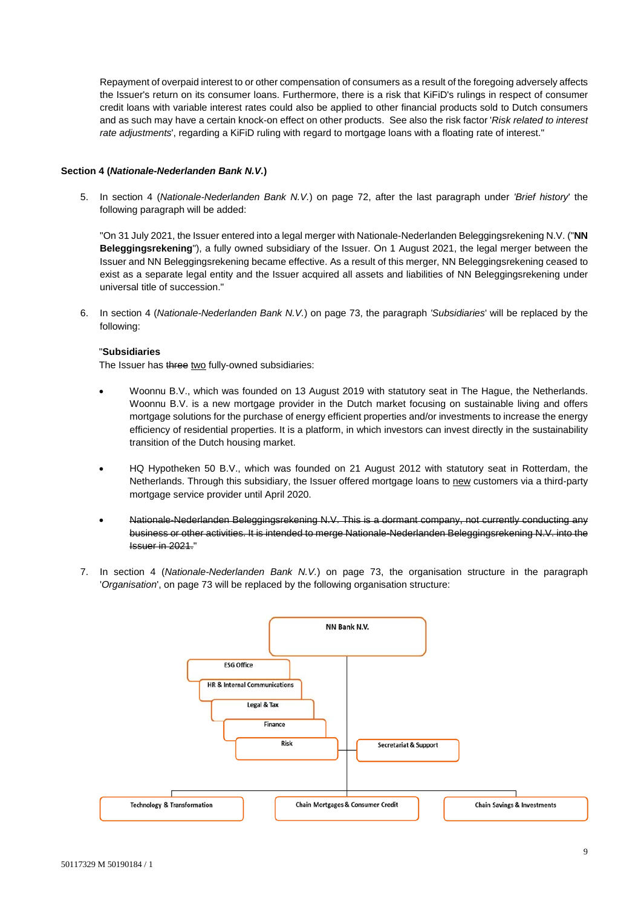Repayment of overpaid interest to or other compensation of consumers as a result of the foregoing adversely affects the Issuer's return on its consumer loans. Furthermore, there is a risk that KiFiD's rulings in respect of consumer credit loans with variable interest rates could also be applied to other financial products sold to Dutch consumers and as such may have a certain knock-on effect on other products. See also the risk factor '*Risk related to interest rate adjustments*', regarding a KiFiD ruling with regard to mortgage loans with a floating rate of interest."

### **Section 4 (***Nationale-Nederlanden Bank N.V.***)**

5. In section 4 (*Nationale-Nederlanden Bank N.V.*) on page 72, after the last paragraph under *'Brief history*' the following paragraph will be added:

"On 31 July 2021, the Issuer entered into a legal merger with Nationale-Nederlanden Beleggingsrekening N.V. ("**NN Beleggingsrekening**"), a fully owned subsidiary of the Issuer. On 1 August 2021, the legal merger between the Issuer and NN Beleggingsrekening became effective. As a result of this merger, NN Beleggingsrekening ceased to exist as a separate legal entity and the Issuer acquired all assets and liabilities of NN Beleggingsrekening under universal title of succession."

6. In section 4 (*Nationale-Nederlanden Bank N.V.*) on page 73, the paragraph *'Subsidiaries*' will be replaced by the following:

### "**Subsidiaries**

The Issuer has three two fully-owned subsidiaries:

- Woonnu B.V., which was founded on 13 August 2019 with statutory seat in The Hague, the Netherlands. Woonnu B.V. is a new mortgage provider in the Dutch market focusing on sustainable living and offers mortgage solutions for the purchase of energy efficient properties and/or investments to increase the energy efficiency of residential properties. It is a platform, in which investors can invest directly in the sustainability transition of the Dutch housing market.
- HQ Hypotheken 50 B.V., which was founded on 21 August 2012 with statutory seat in Rotterdam, the Netherlands. Through this subsidiary, the Issuer offered mortgage loans to new customers via a third-party mortgage service provider until April 2020.
- Nationale-Nederlanden Beleggingsrekening N.V. This is a dormant company, not currently conducting any business or other activities. It is intended to merge Nationale-Nederlanden Beleggingsrekening N.V. into the Issuer in 2021."
- 7. In section 4 (*Nationale-Nederlanden Bank N.V.*) on page 73, the organisation structure in the paragraph '*Organisation*', on page 73 will be replaced by the following organisation structure:

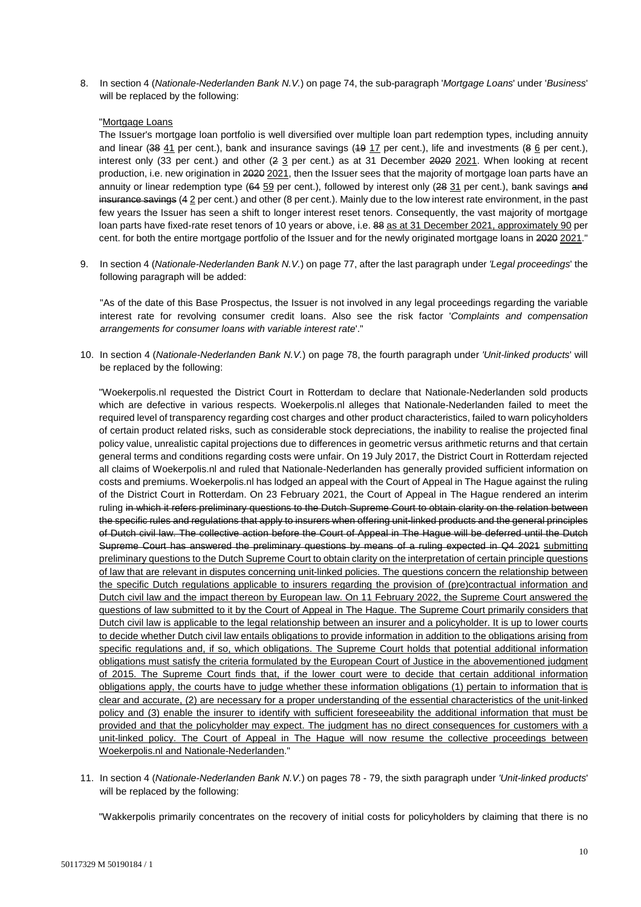8. In section 4 (*Nationale-Nederlanden Bank N.V.*) on page 74, the sub-paragraph '*Mortgage Loans*' under '*Business*' will be replaced by the following:

### "Mortgage Loans

The Issuer's mortgage loan portfolio is well diversified over multiple loan part redemption types, including annuity and linear (38 41 per cent.), bank and insurance savings (49 17 per cent.), life and investments (8 6 per cent.), interest only (33 per cent.) and other (2 3 per cent.) as at 31 December 2020 2021. When looking at recent production, i.e. new origination in 2020 2021, then the Issuer sees that the majority of mortgage loan parts have an annuity or linear redemption type (64 59 per cent.), followed by interest only (28 31 per cent.), bank savings and insurance savings (4.2 per cent.) and other (8 per cent.). Mainly due to the low interest rate environment, in the past few years the Issuer has seen a shift to longer interest reset tenors. Consequently, the vast majority of mortgage loan parts have fixed-rate reset tenors of 10 years or above, i.e. 88 as at 31 December 2021, approximately 90 per cent. for both the entire mortgage portfolio of the Issuer and for the newly originated mortgage loans in 2020 2021."

9. In section 4 (*Nationale-Nederlanden Bank N.V.*) on page 77, after the last paragraph under *'Legal proceedings*' the following paragraph will be added:

"As of the date of this Base Prospectus, the Issuer is not involved in any legal proceedings regarding the variable interest rate for revolving consumer credit loans. Also see the risk factor '*Complaints and compensation arrangements for consumer loans with variable interest rate*'."

10. In section 4 (*Nationale-Nederlanden Bank N.V.*) on page 78, the fourth paragraph under *'Unit-linked products*' will be replaced by the following:

"Woekerpolis.nl requested the District Court in Rotterdam to declare that Nationale-Nederlanden sold products which are defective in various respects. Woekerpolis.nl alleges that Nationale-Nederlanden failed to meet the required level of transparency regarding cost charges and other product characteristics, failed to warn policyholders of certain product related risks, such as considerable stock depreciations, the inability to realise the projected final policy value, unrealistic capital projections due to differences in geometric versus arithmetic returns and that certain general terms and conditions regarding costs were unfair. On 19 July 2017, the District Court in Rotterdam rejected all claims of Woekerpolis.nl and ruled that Nationale-Nederlanden has generally provided sufficient information on costs and premiums. Woekerpolis.nl has lodged an appeal with the Court of Appeal in The Hague against the ruling of the District Court in Rotterdam. On 23 February 2021, the Court of Appeal in The Hague rendered an interim ruling in which it refers preliminary questions to the Dutch Supreme Court to obtain clarity on the relation between the specific rules and regulations that apply to insurers when offering unit-linked products and the general principles of Dutch civil law. The collective action before the Court of Appeal in The Hague will be deferred until the Dutch Supreme Court has answered the preliminary questions by means of a ruling expected in Q4 2021 submitting preliminary questions to the Dutch Supreme Court to obtain clarity on the interpretation of certain principle questions of law that are relevant in disputes concerning unit-linked policies. The questions concern the relationship between the specific Dutch regulations applicable to insurers regarding the provision of (pre)contractual information and Dutch civil law and the impact thereon by European law. On 11 February 2022, the Supreme Court answered the questions of law submitted to it by the Court of Appeal in The Hague. The Supreme Court primarily considers that Dutch civil law is applicable to the legal relationship between an insurer and a policyholder. It is up to lower courts to decide whether Dutch civil law entails obligations to provide information in addition to the obligations arising from specific regulations and, if so, which obligations. The Supreme Court holds that potential additional information obligations must satisfy the criteria formulated by the European Court of Justice in the abovementioned judgment of 2015. The Supreme Court finds that, if the lower court were to decide that certain additional information obligations apply, the courts have to judge whether these information obligations (1) pertain to information that is clear and accurate, (2) are necessary for a proper understanding of the essential characteristics of the unit-linked policy and (3) enable the insurer to identify with sufficient foreseeability the additional information that must be provided and that the policyholder may expect. The judgment has no direct consequences for customers with a unit-linked policy. The Court of Appeal in The Hague will now resume the collective proceedings between Woekerpolis.nl and Nationale-Nederlanden."

11. In section 4 (*Nationale-Nederlanden Bank N.V.*) on pages 78 - 79, the sixth paragraph under *'Unit-linked products*' will be replaced by the following:

"Wakkerpolis primarily concentrates on the recovery of initial costs for policyholders by claiming that there is no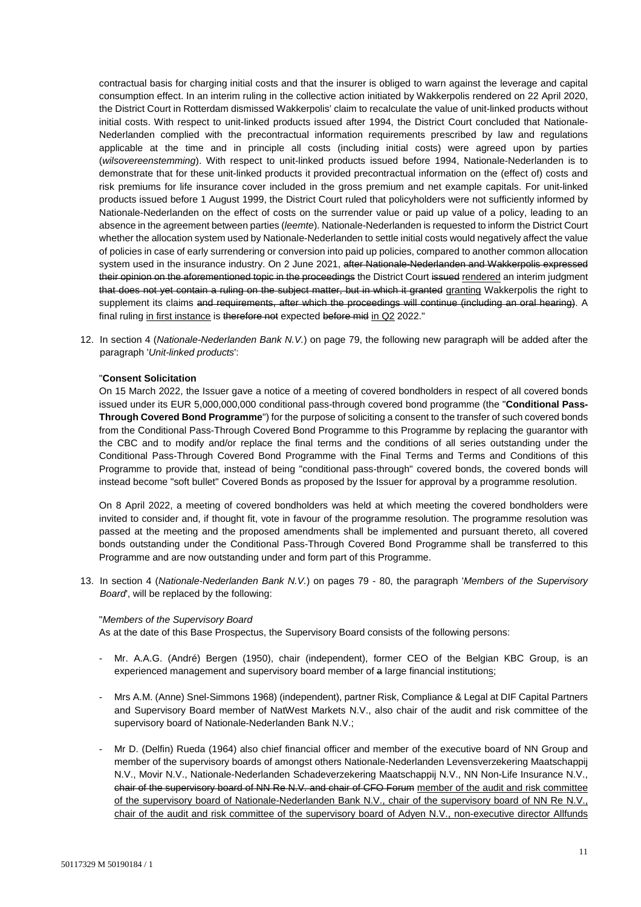contractual basis for charging initial costs and that the insurer is obliged to warn against the leverage and capital consumption effect. In an interim ruling in the collective action initiated by Wakkerpolis rendered on 22 April 2020, the District Court in Rotterdam dismissed Wakkerpolis' claim to recalculate the value of unit-linked products without initial costs. With respect to unit-linked products issued after 1994, the District Court concluded that Nationale-Nederlanden complied with the precontractual information requirements prescribed by law and regulations applicable at the time and in principle all costs (including initial costs) were agreed upon by parties (*wilsovereenstemming*). With respect to unit-linked products issued before 1994, Nationale-Nederlanden is to demonstrate that for these unit-linked products it provided precontractual information on the (effect of) costs and risk premiums for life insurance cover included in the gross premium and net example capitals. For unit-linked products issued before 1 August 1999, the District Court ruled that policyholders were not sufficiently informed by Nationale-Nederlanden on the effect of costs on the surrender value or paid up value of a policy, leading to an absence in the agreement between parties (*leemte*). Nationale-Nederlanden is requested to inform the District Court whether the allocation system used by Nationale-Nederlanden to settle initial costs would negatively affect the value of policies in case of early surrendering or conversion into paid up policies, compared to another common allocation system used in the insurance industry. On 2 June 2021, after Nationale-Nederlanden and Wakkerpolis expressed their opinion on the aforementioned topic in the proceedings the District Court issued rendered an interim judgment that does not yet contain a ruling on the subject matter, but in which it granted granting Wakkerpolis the right to supplement its claims and requirements, after which the proceedings will continue (including an oral hearing). A final ruling in first instance is therefore not expected before mid in Q2 2022."

12. In section 4 (*Nationale-Nederlanden Bank N.V.*) on page 79, the following new paragraph will be added after the paragraph '*Unit-linked products*':

#### "**Consent Solicitation**

On 15 March 2022, the Issuer gave a notice of a meeting of covered bondholders in respect of all covered bonds issued under its EUR 5,000,000,000 conditional pass-through covered bond programme (the "**Conditional Pass-Through Covered Bond Programme**") for the purpose of soliciting a consent to the transfer of such covered bonds from the Conditional Pass-Through Covered Bond Programme to this Programme by replacing the guarantor with the CBC and to modify and/or replace the final terms and the conditions of all series outstanding under the Conditional Pass-Through Covered Bond Programme with the Final Terms and Terms and Conditions of this Programme to provide that, instead of being "conditional pass-through" covered bonds, the covered bonds will instead become "soft bullet" Covered Bonds as proposed by the Issuer for approval by a programme resolution.

On 8 April 2022, a meeting of covered bondholders was held at which meeting the covered bondholders were invited to consider and, if thought fit, vote in favour of the programme resolution. The programme resolution was passed at the meeting and the proposed amendments shall be implemented and pursuant thereto, all covered bonds outstanding under the Conditional Pass-Through Covered Bond Programme shall be transferred to this Programme and are now outstanding under and form part of this Programme.

13. In section 4 (*Nationale-Nederlanden Bank N.V.*) on pages 79 - 80, the paragraph '*Members of the Supervisory Board*', will be replaced by the following:

#### "*Members of the Supervisory Board*

As at the date of this Base Prospectus, the Supervisory Board consists of the following persons:

- Mr. A.A.G. (André) Bergen (1950), chair (independent), former CEO of the Belgian KBC Group, is an experienced management and supervisory board member of a large financial institutions;
- Mrs A.M. (Anne) Snel-Simmons 1968) (independent), partner Risk, Compliance & Legal at DIF Capital Partners and Supervisory Board member of NatWest Markets N.V., also chair of the audit and risk committee of the supervisory board of Nationale-Nederlanden Bank N.V.;
- Mr D. (Delfin) Rueda (1964) also chief financial officer and member of the executive board of NN Group and member of the supervisory boards of amongst others Nationale-Nederlanden Levensverzekering Maatschappij N.V., Movir N.V., Nationale-Nederlanden Schadeverzekering Maatschappij N.V., NN Non-Life Insurance N.V., chair of the supervisory board of NN Re N.V. and chair of CFO Forum member of the audit and risk committee of the supervisory board of Nationale-Nederlanden Bank N.V., chair of the supervisory board of NN Re N.V., chair of the audit and risk committee of the supervisory board of Adyen N.V., non-executive director Allfunds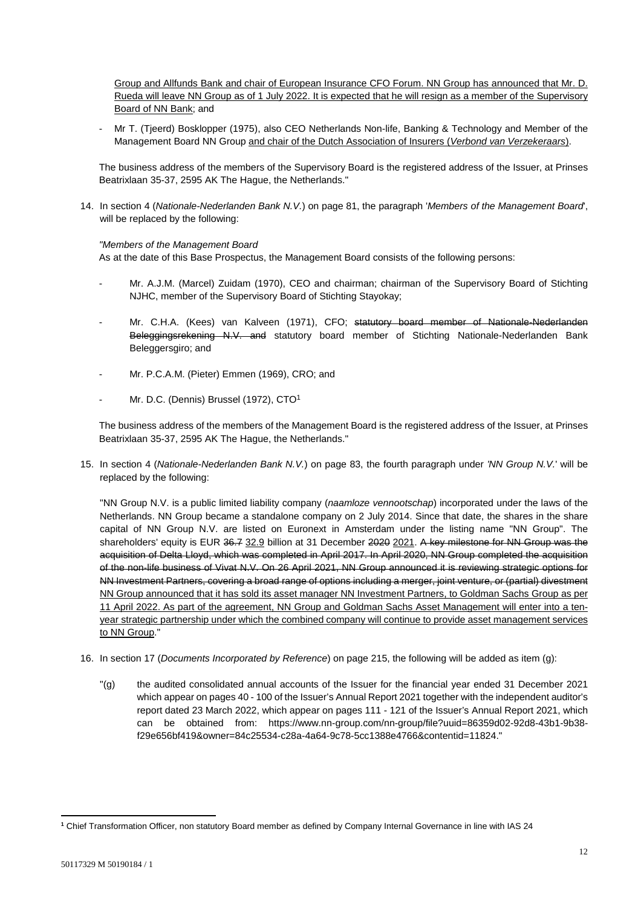Group and Allfunds Bank and chair of European Insurance CFO Forum. NN Group has announced that Mr. D. Rueda will leave NN Group as of 1 July 2022. It is expected that he will resign as a member of the Supervisory Board of NN Bank; and

Mr T. (Tieerd) Bosklopper (1975), also CEO Netherlands Non-life, Banking & Technology and Member of the Management Board NN Group and chair of the Dutch Association of Insurers (*Verbond van Verzekeraars*).

The business address of the members of the Supervisory Board is the registered address of the Issuer, at Prinses Beatrixlaan 35-37, 2595 AK The Hague, the Netherlands."

14. In section 4 (*Nationale-Nederlanden Bank N.V.*) on page 81, the paragraph '*Members of the Management Board*', will be replaced by the following:

## *"Members of the Management Board*

As at the date of this Base Prospectus, the Management Board consists of the following persons:

- Mr. A.J.M. (Marcel) Zuidam (1970), CEO and chairman; chairman of the Supervisory Board of Stichting NJHC, member of the Supervisory Board of Stichting Stayokay;
- Mr. C.H.A. (Kees) van Kalveen (1971), CFO; statutory board member of Nationale-Nederlanden Beleggingsrekening N.V. and statutory board member of Stichting Nationale-Nederlanden Bank Beleggersgiro; and
- Mr. P.C.A.M. (Pieter) Emmen (1969), CRO; and
- Mr. D.C. (Dennis) Brussel (1972), CTO<sup>1</sup>

The business address of the members of the Management Board is the registered address of the Issuer, at Prinses Beatrixlaan 35-37, 2595 AK The Hague, the Netherlands."

15. In section 4 (*Nationale-Nederlanden Bank N.V.*) on page 83, the fourth paragraph under *'NN Group N.V.*' will be replaced by the following:

"NN Group N.V. is a public limited liability company (*naamloze vennootschap*) incorporated under the laws of the Netherlands. NN Group became a standalone company on 2 July 2014. Since that date, the shares in the share capital of NN Group N.V. are listed on Euronext in Amsterdam under the listing name "NN Group". The shareholders' equity is EUR 36.7 32.9 billion at 31 December 2020 2021. A key milestone for NN Group was the acquisition of Delta Lloyd, which was completed in April 2017. In April 2020, NN Group completed the acquisition of the non-life business of Vivat N.V. On 26 April 2021, NN Group announced it is reviewing strategic options for NN Investment Partners, covering a broad range of options including a merger, joint venture, or (partial) divestment NN Group announced that it has sold its asset manager NN Investment Partners, to Goldman Sachs Group as per 11 April 2022. As part of the agreement, NN Group and Goldman Sachs Asset Management will enter into a tenyear strategic partnership under which the combined company will continue to provide asset management services to NN Group."

- 16. In section 17 (*Documents Incorporated by Reference*) on page 215, the following will be added as item (g):
	- "(g) the audited consolidated annual accounts of the Issuer for the financial year ended 31 December 2021 which appear on pages 40 - 100 of the Issuer's Annual Report 2021 together with the independent auditor's report dated 23 March 2022, which appear on pages 111 - 121 of the Issuer's Annual Report 2021, which can be obtained from: https://www.nn-group.com/nn-group/file?uuid=86359d02-92d8-43b1-9b38 f29e656bf419&owner=84c25534-c28a-4a64-9c78-5cc1388e4766&contentid=11824."

 $\overline{\phantom{a}}$ 

**<sup>1</sup>** Chief Transformation Officer, non statutory Board member as defined by Company Internal Governance in line with IAS 24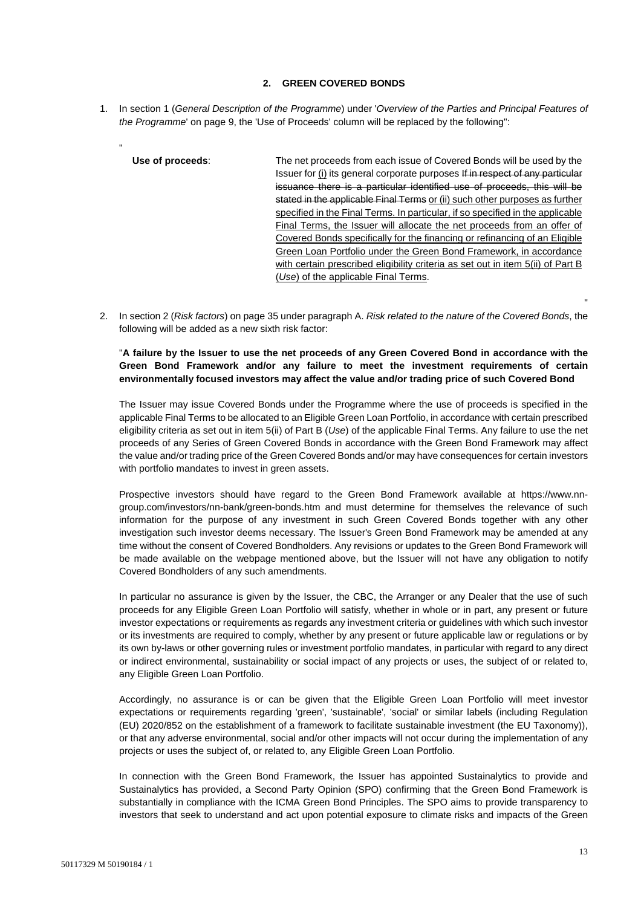## **2. GREEN COVERED BONDS**

- 1. In section 1 (*General Description of the Programme*) under '*Overview of the Parties and Principal Features of the Programme*' on page 9, the 'Use of Proceeds' column will be replaced by the following":
	- **Use of proceeds**: The net proceeds from each issue of Covered Bonds will be used by the Issuer for (i) its general corporate purposes If in respect of any particular issuance there is a particular identified use of proceeds, this will be stated in the applicable Final Terms or (ii) such other purposes as further specified in the Final Terms. In particular, if so specified in the applicable Final Terms, the Issuer will allocate the net proceeds from an offer of Covered Bonds specifically for the financing or refinancing of an Eligible Green Loan Portfolio under the Green Bond Framework, in accordance with certain prescribed eligibility criteria as set out in item 5(ii) of Part B (*Use*) of the applicable Final Terms.
- 2. In section 2 (*Risk factors*) on page 35 under paragraph A. *Risk related to the nature of the Covered Bonds*, the following will be added as a new sixth risk factor:

## "**A failure by the Issuer to use the net proceeds of any Green Covered Bond in accordance with the Green Bond Framework and/or any failure to meet the investment requirements of certain environmentally focused investors may affect the value and/or trading price of such Covered Bond**

The Issuer may issue Covered Bonds under the Programme where the use of proceeds is specified in the applicable Final Terms to be allocated to an Eligible Green Loan Portfolio, in accordance with certain prescribed eligibility criteria as set out in item 5(ii) of Part B (*Use*) of the applicable Final Terms. Any failure to use the net proceeds of any Series of Green Covered Bonds in accordance with the Green Bond Framework may affect the value and/or trading price of the Green Covered Bonds and/or may have consequences for certain investors with portfolio mandates to invest in green assets.

Prospective investors should have regard to the Green Bond Framework available at https://www.nngroup.com/investors/nn-bank/green-bonds.htm and must determine for themselves the relevance of such information for the purpose of any investment in such Green Covered Bonds together with any other investigation such investor deems necessary. The Issuer's Green Bond Framework may be amended at any time without the consent of Covered Bondholders. Any revisions or updates to the Green Bond Framework will be made available on the webpage mentioned above, but the Issuer will not have any obligation to notify Covered Bondholders of any such amendments.

In particular no assurance is given by the Issuer, the CBC, the Arranger or any Dealer that the use of such proceeds for any Eligible Green Loan Portfolio will satisfy, whether in whole or in part, any present or future investor expectations or requirements as regards any investment criteria or guidelines with which such investor or its investments are required to comply, whether by any present or future applicable law or regulations or by its own by-laws or other governing rules or investment portfolio mandates, in particular with regard to any direct or indirect environmental, sustainability or social impact of any projects or uses, the subject of or related to, any Eligible Green Loan Portfolio.

Accordingly, no assurance is or can be given that the Eligible Green Loan Portfolio will meet investor expectations or requirements regarding 'green', 'sustainable', 'social' or similar labels (including Regulation (EU) 2020/852 on the establishment of a framework to facilitate sustainable investment (the EU Taxonomy)), or that any adverse environmental, social and/or other impacts will not occur during the implementation of any projects or uses the subject of, or related to, any Eligible Green Loan Portfolio.

In connection with the Green Bond Framework, the Issuer has appointed Sustainalytics to provide and Sustainalytics has provided, a Second Party Opinion (SPO) confirming that the Green Bond Framework is substantially in compliance with the ICMA Green Bond Principles. The SPO aims to provide transparency to investors that seek to understand and act upon potential exposure to climate risks and impacts of the Green

"

"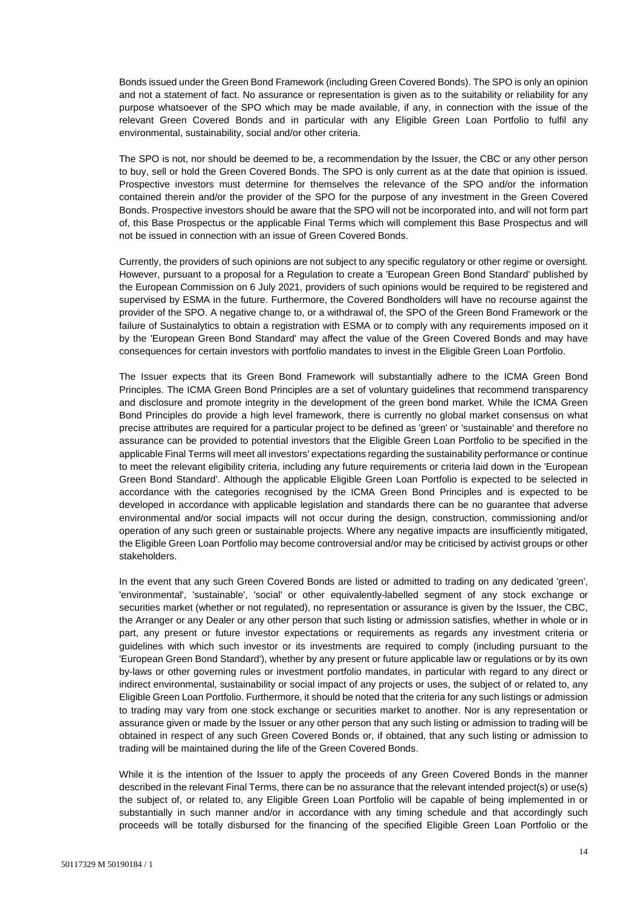Bonds issued under the Green Bond Framework (including Green Covered Bonds). The SPO is only an opinion and not a statement of fact. No assurance or representation is given as to the suitability or reliability for any purpose whatsoever of the SPO which may be made available, if any, in connection with the issue of the relevant Green Covered Bonds and in particular with any Eligible Green Loan Portfolio to fulfil any environmental, sustainability, social and/or other criteria.

The SPO is not, nor should be deemed to be, a recommendation by the Issuer, the CBC or any other person to buy, sell or hold the Green Covered Bonds. The SPO is only current as at the date that opinion is issued. Prospective investors must determine for themselves the relevance of the SPO and/or the information contained therein and/or the provider of the SPO for the purpose of any investment in the Green Covered Bonds. Prospective investors should be aware that the SPO will not be incorporated into, and will not form part of, this Base Prospectus or the applicable Final Terms which will complement this Base Prospectus and will not be issued in connection with an issue of Green Covered Bonds.

Currently, the providers of such opinions are not subject to any specific regulatory or other regime or oversight. However, pursuant to a proposal for a Regulation to create a 'European Green Bond Standard' published by the European Commission on 6 July 2021, providers of such opinions would be required to be registered and supervised by ESMA in the future. Furthermore, the Covered Bondholders will have no recourse against the provider of the SPO. A negative change to, or a withdrawal of, the SPO of the Green Bond Framework or the failure of Sustainalytics to obtain a registration with ESMA or to comply with any requirements imposed on it by the 'European Green Bond Standard' may affect the value of the Green Covered Bonds and may have consequences for certain investors with portfolio mandates to invest in the Eligible Green Loan Portfolio.

The Issuer expects that its Green Bond Framework will substantially adhere to the ICMA Green Bond Principles. The ICMA Green Bond Principles are a set of voluntary guidelines that recommend transparency and disclosure and promote integrity in the development of the green bond market. While the ICMA Green Bond Principles do provide a high level framework, there is currently no global market consensus on what precise attributes are required for a particular project to be defined as 'green' or 'sustainable' and therefore no assurance can be provided to potential investors that the Eligible Green Loan Portfolio to be specified in the applicable Final Terms will meet all investors' expectations regarding the sustainability performance or continue to meet the relevant eligibility criteria, including any future requirements or criteria laid down in the 'European Green Bond Standard'. Although the applicable Eligible Green Loan Portfolio is expected to be selected in accordance with the categories recognised by the ICMA Green Bond Principles and is expected to be developed in accordance with applicable legislation and standards there can be no guarantee that adverse environmental and/or social impacts will not occur during the design, construction, commissioning and/or operation of any such green or sustainable projects. Where any negative impacts are insufficiently mitigated, the Eligible Green Loan Portfolio may become controversial and/or may be criticised by activist groups or other stakeholders.

In the event that any such Green Covered Bonds are listed or admitted to trading on any dedicated 'green', 'environmental', 'sustainable', 'social' or other equivalently-labelled segment of any stock exchange or securities market (whether or not regulated), no representation or assurance is given by the Issuer, the CBC, the Arranger or any Dealer or any other person that such listing or admission satisfies, whether in whole or in part, any present or future investor expectations or requirements as regards any investment criteria or guidelines with which such investor or its investments are required to comply (including pursuant to the 'European Green Bond Standard'), whether by any present or future applicable law or regulations or by its own by-laws or other governing rules or investment portfolio mandates, in particular with regard to any direct or indirect environmental, sustainability or social impact of any projects or uses, the subject of or related to, any Eligible Green Loan Portfolio. Furthermore, it should be noted that the criteria for any such listings or admission to trading may vary from one stock exchange or securities market to another. Nor is any representation or assurance given or made by the Issuer or any other person that any such listing or admission to trading will be obtained in respect of any such Green Covered Bonds or, if obtained, that any such listing or admission to trading will be maintained during the life of the Green Covered Bonds.

While it is the intention of the Issuer to apply the proceeds of any Green Covered Bonds in the manner described in the relevant Final Terms, there can be no assurance that the relevant intended project(s) or use(s) the subject of, or related to, any Eligible Green Loan Portfolio will be capable of being implemented in or substantially in such manner and/or in accordance with any timing schedule and that accordingly such proceeds will be totally disbursed for the financing of the specified Eligible Green Loan Portfolio or the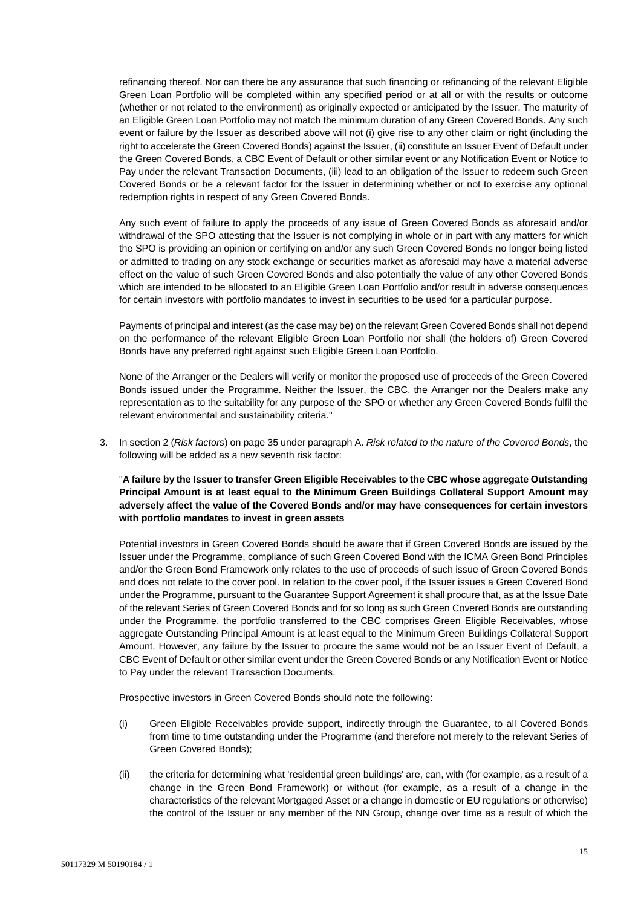refinancing thereof. Nor can there be any assurance that such financing or refinancing of the relevant Eligible Green Loan Portfolio will be completed within any specified period or at all or with the results or outcome (whether or not related to the environment) as originally expected or anticipated by the Issuer. The maturity of an Eligible Green Loan Portfolio may not match the minimum duration of any Green Covered Bonds. Any such event or failure by the Issuer as described above will not (i) give rise to any other claim or right (including the right to accelerate the Green Covered Bonds) against the Issuer, (ii) constitute an Issuer Event of Default under the Green Covered Bonds, a CBC Event of Default or other similar event or any Notification Event or Notice to Pay under the relevant Transaction Documents, (iii) lead to an obligation of the Issuer to redeem such Green Covered Bonds or be a relevant factor for the Issuer in determining whether or not to exercise any optional redemption rights in respect of any Green Covered Bonds.

Any such event of failure to apply the proceeds of any issue of Green Covered Bonds as aforesaid and/or withdrawal of the SPO attesting that the Issuer is not complying in whole or in part with any matters for which the SPO is providing an opinion or certifying on and/or any such Green Covered Bonds no longer being listed or admitted to trading on any stock exchange or securities market as aforesaid may have a material adverse effect on the value of such Green Covered Bonds and also potentially the value of any other Covered Bonds which are intended to be allocated to an Eligible Green Loan Portfolio and/or result in adverse consequences for certain investors with portfolio mandates to invest in securities to be used for a particular purpose.

Payments of principal and interest (as the case may be) on the relevant Green Covered Bonds shall not depend on the performance of the relevant Eligible Green Loan Portfolio nor shall (the holders of) Green Covered Bonds have any preferred right against such Eligible Green Loan Portfolio.

None of the Arranger or the Dealers will verify or monitor the proposed use of proceeds of the Green Covered Bonds issued under the Programme. Neither the Issuer, the CBC, the Arranger nor the Dealers make any representation as to the suitability for any purpose of the SPO or whether any Green Covered Bonds fulfil the relevant environmental and sustainability criteria."

3. In section 2 (*Risk factors*) on page 35 under paragraph A. *Risk related to the nature of the Covered Bonds*, the following will be added as a new seventh risk factor:

## "**A failure by the Issuer to transfer Green Eligible Receivables to the CBC whose aggregate Outstanding Principal Amount is at least equal to the Minimum Green Buildings Collateral Support Amount may adversely affect the value of the Covered Bonds and/or may have consequences for certain investors with portfolio mandates to invest in green assets**

Potential investors in Green Covered Bonds should be aware that if Green Covered Bonds are issued by the Issuer under the Programme, compliance of such Green Covered Bond with the ICMA Green Bond Principles and/or the Green Bond Framework only relates to the use of proceeds of such issue of Green Covered Bonds and does not relate to the cover pool. In relation to the cover pool, if the Issuer issues a Green Covered Bond under the Programme, pursuant to the Guarantee Support Agreement it shall procure that, as at the Issue Date of the relevant Series of Green Covered Bonds and for so long as such Green Covered Bonds are outstanding under the Programme, the portfolio transferred to the CBC comprises Green Eligible Receivables, whose aggregate Outstanding Principal Amount is at least equal to the Minimum Green Buildings Collateral Support Amount. However, any failure by the Issuer to procure the same would not be an Issuer Event of Default, a CBC Event of Default or other similar event under the Green Covered Bonds or any Notification Event or Notice to Pay under the relevant Transaction Documents.

Prospective investors in Green Covered Bonds should note the following:

- (i) Green Eligible Receivables provide support, indirectly through the Guarantee, to all Covered Bonds from time to time outstanding under the Programme (and therefore not merely to the relevant Series of Green Covered Bonds);
- (ii) the criteria for determining what 'residential green buildings' are, can, with (for example, as a result of a change in the Green Bond Framework) or without (for example, as a result of a change in the characteristics of the relevant Mortgaged Asset or a change in domestic or EU regulations or otherwise) the control of the Issuer or any member of the NN Group, change over time as a result of which the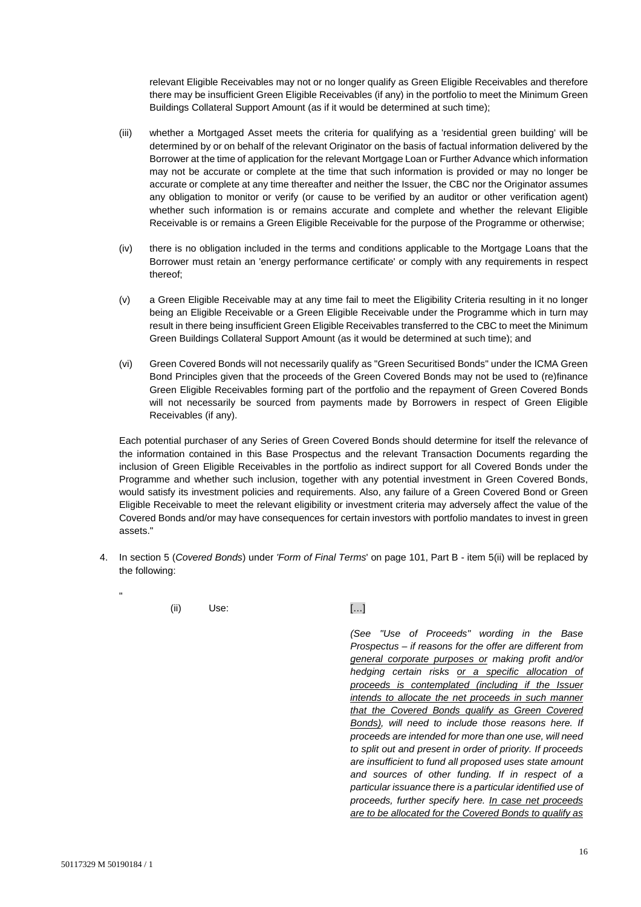relevant Eligible Receivables may not or no longer qualify as Green Eligible Receivables and therefore there may be insufficient Green Eligible Receivables (if any) in the portfolio to meet the Minimum Green Buildings Collateral Support Amount (as if it would be determined at such time);

- (iii) whether a Mortgaged Asset meets the criteria for qualifying as a 'residential green building' will be determined by or on behalf of the relevant Originator on the basis of factual information delivered by the Borrower at the time of application for the relevant Mortgage Loan or Further Advance which information may not be accurate or complete at the time that such information is provided or may no longer be accurate or complete at any time thereafter and neither the Issuer, the CBC nor the Originator assumes any obligation to monitor or verify (or cause to be verified by an auditor or other verification agent) whether such information is or remains accurate and complete and whether the relevant Eligible Receivable is or remains a Green Eligible Receivable for the purpose of the Programme or otherwise;
- (iv) there is no obligation included in the terms and conditions applicable to the Mortgage Loans that the Borrower must retain an 'energy performance certificate' or comply with any requirements in respect thereof;
- (v) a Green Eligible Receivable may at any time fail to meet the Eligibility Criteria resulting in it no longer being an Eligible Receivable or a Green Eligible Receivable under the Programme which in turn may result in there being insufficient Green Eligible Receivables transferred to the CBC to meet the Minimum Green Buildings Collateral Support Amount (as it would be determined at such time); and
- (vi) Green Covered Bonds will not necessarily qualify as "Green Securitised Bonds" under the ICMA Green Bond Principles given that the proceeds of the Green Covered Bonds may not be used to (re)finance Green Eligible Receivables forming part of the portfolio and the repayment of Green Covered Bonds will not necessarily be sourced from payments made by Borrowers in respect of Green Eligible Receivables (if any).

Each potential purchaser of any Series of Green Covered Bonds should determine for itself the relevance of the information contained in this Base Prospectus and the relevant Transaction Documents regarding the inclusion of Green Eligible Receivables in the portfolio as indirect support for all Covered Bonds under the Programme and whether such inclusion, together with any potential investment in Green Covered Bonds, would satisfy its investment policies and requirements. Also, any failure of a Green Covered Bond or Green Eligible Receivable to meet the relevant eligibility or investment criteria may adversely affect the value of the Covered Bonds and/or may have consequences for certain investors with portfolio mandates to invest in green assets."

4. In section 5 (*Covered Bonds*) under *'Form of Final Terms*' on page 101, Part B - item 5(ii) will be replaced by the following:

(ii) Use: […]

*(See "Use of Proceeds" wording in the Base Prospectus – if reasons for the offer are different from general corporate purposes or making profit and/or hedging certain risks or a specific allocation of proceeds is contemplated (including if the Issuer intends to allocate the net proceeds in such manner that the Covered Bonds qualify as Green Covered Bonds), will need to include those reasons here. If proceeds are intended for more than one use, will need to split out and present in order of priority. If proceeds are insufficient to fund all proposed uses state amount and sources of other funding. If in respect of a particular issuance there is a particular identified use of proceeds, further specify here. In case net proceeds are to be allocated for the Covered Bonds to qualify as* 

"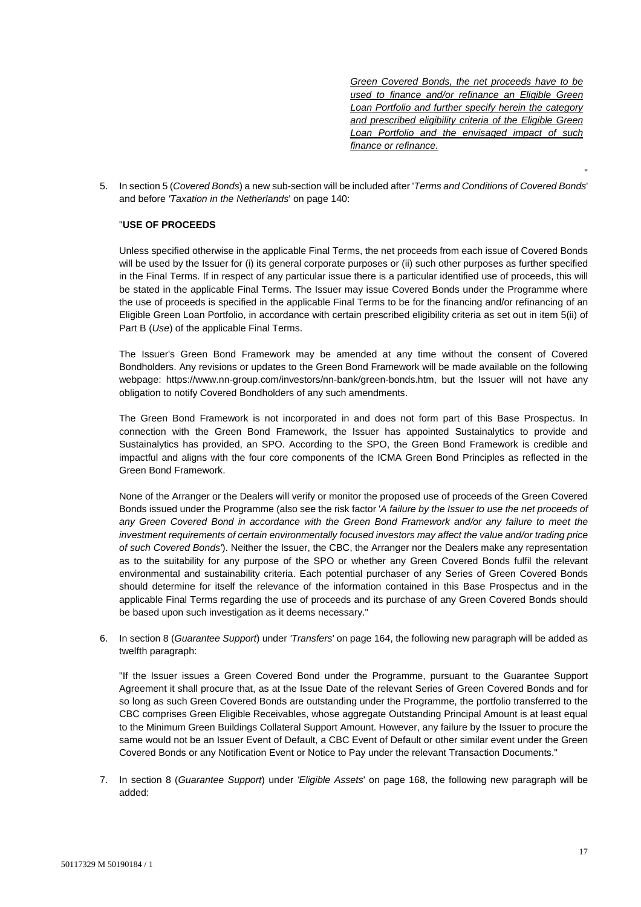*Green Covered Bonds, the net proceeds have to be used to finance and/or refinance an Eligible Green Loan Portfolio and further specify herein the category and prescribed eligibility criteria of the Eligible Green Loan Portfolio and the envisaged impact of such finance or refinance.*

"

5. In section 5 (*Covered Bonds*) a new sub-section will be included after '*Terms and Conditions of Covered Bonds*' and before *'Taxation in the Netherlands*' on page 140:

## "**USE OF PROCEEDS**

Unless specified otherwise in the applicable Final Terms, the net proceeds from each issue of Covered Bonds will be used by the Issuer for (i) its general corporate purposes or (ii) such other purposes as further specified in the Final Terms. If in respect of any particular issue there is a particular identified use of proceeds, this will be stated in the applicable Final Terms. The Issuer may issue Covered Bonds under the Programme where the use of proceeds is specified in the applicable Final Terms to be for the financing and/or refinancing of an Eligible Green Loan Portfolio, in accordance with certain prescribed eligibility criteria as set out in item 5(ii) of Part B (*Use*) of the applicable Final Terms.

The Issuer's Green Bond Framework may be amended at any time without the consent of Covered Bondholders. Any revisions or updates to the Green Bond Framework will be made available on the following webpage: https://www.nn-group.com/investors/nn-bank/green-bonds.htm, but the Issuer will not have any obligation to notify Covered Bondholders of any such amendments.

The Green Bond Framework is not incorporated in and does not form part of this Base Prospectus. In connection with the Green Bond Framework, the Issuer has appointed Sustainalytics to provide and Sustainalytics has provided, an SPO. According to the SPO, the Green Bond Framework is credible and impactful and aligns with the four core components of the ICMA Green Bond Principles as reflected in the Green Bond Framework.

None of the Arranger or the Dealers will verify or monitor the proposed use of proceeds of the Green Covered Bonds issued under the Programme (also see the risk factor '*A failure by the Issuer to use the net proceeds of any Green Covered Bond in accordance with the Green Bond Framework and/or any failure to meet the investment requirements of certain environmentally focused investors may affect the value and/or trading price of such Covered Bonds'*). Neither the Issuer, the CBC, the Arranger nor the Dealers make any representation as to the suitability for any purpose of the SPO or whether any Green Covered Bonds fulfil the relevant environmental and sustainability criteria. Each potential purchaser of any Series of Green Covered Bonds should determine for itself the relevance of the information contained in this Base Prospectus and in the applicable Final Terms regarding the use of proceeds and its purchase of any Green Covered Bonds should be based upon such investigation as it deems necessary."

6. In section 8 (*Guarantee Support*) under *'Transfers*' on page 164, the following new paragraph will be added as twelfth paragraph:

"If the Issuer issues a Green Covered Bond under the Programme, pursuant to the Guarantee Support Agreement it shall procure that, as at the Issue Date of the relevant Series of Green Covered Bonds and for so long as such Green Covered Bonds are outstanding under the Programme, the portfolio transferred to the CBC comprises Green Eligible Receivables, whose aggregate Outstanding Principal Amount is at least equal to the Minimum Green Buildings Collateral Support Amount. However, any failure by the Issuer to procure the same would not be an Issuer Event of Default, a CBC Event of Default or other similar event under the Green Covered Bonds or any Notification Event or Notice to Pay under the relevant Transaction Documents."

7. In section 8 (*Guarantee Support*) under *'Eligible Assets*' on page 168, the following new paragraph will be added: